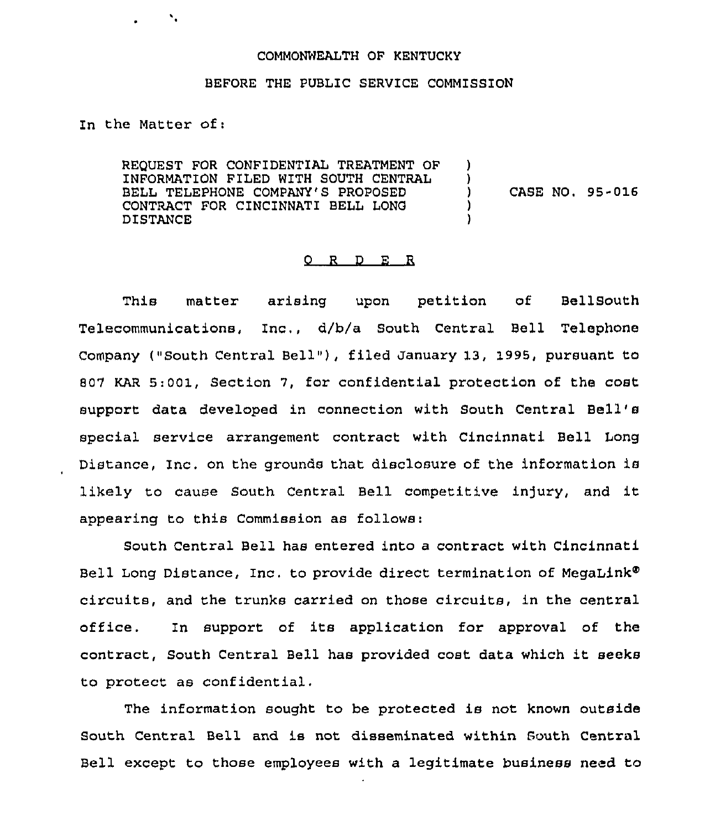## COMMONWEALTH OF KENTUCKY

## BEFORE THE PUBLIC SERVICE COMMISSION

In the Matter of:

 $\mathcal{N}_\bullet$ 

REQUEST FOR CONFIDENTIAL TREATMENT OF INFORMATION FILED WITH SOUTH CENTRAL BELL TELEPHONE COMPANY'S PROPOSED CONTRACT FOR CINCINNATI BELL LONG DISTANCE

) CASE NO. 95-016

) )<br>)

> ) )

## 0 <sup>R</sup> <sup>D</sup> E R

This matter arising upon petition of Bellgouth Telecommunications, Inc,, d/b/a South Central Bell Telephone Company ("South Central Bell"), filed January 13, 1995, pursuant to 50"/ KAR 5:001, Section 7, for confidential protection of the cost support data developed in connection with South Central Bell' special service arrangement contract with Cincinnati, Bell Long Distance, Inc. on the grounds that disclosure of the information is likely to cause South Central Bell competitive injury, and it appearing to this Commission as follows:

South Central Bell has entered into a contract with Cincinnati Bell Long Distance, Inc. to provide direct termination of MegaLink® circuits, and the trunks carried on those circuits, in the central office. In support of its application for approval of the contract, South Central Bell has provided cost data which it seeks to protect as confidential.

The information sought to be protected is not known outside South Central Bell and is not disseminated within South Central Bell except to those employees with a legitimate business need to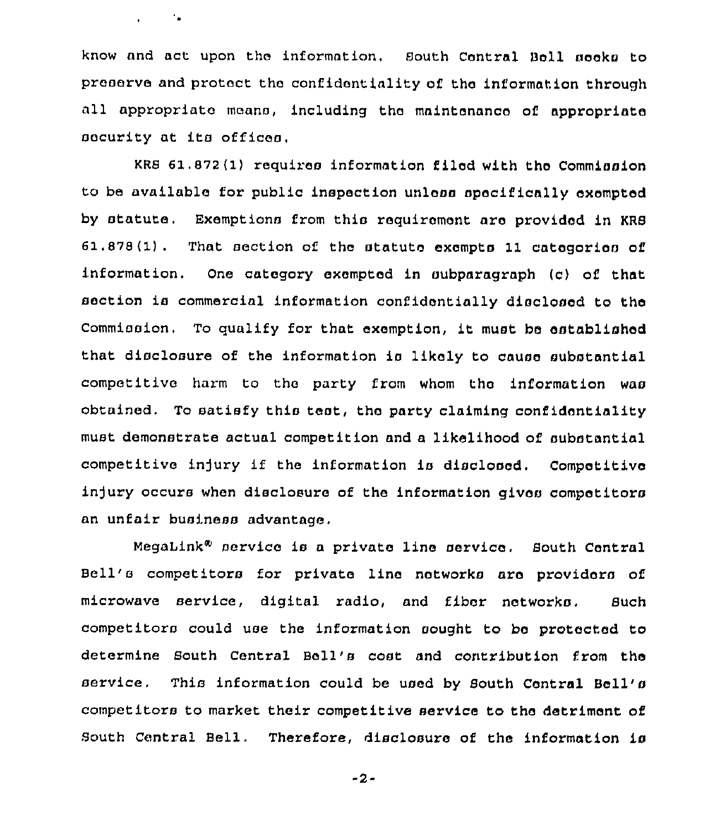know and act upon the information. South Central Bell seeks to preserve and protect the confidentiality of the information through all appropriate means, including the maintenance of appropriate security at ita offices.

 $\mathbf{r} = \mathbf{r} \times \mathbf{r}$  .

KRS 61.872(1) requires information filed with the Commission to be available for public inspection unlesa specifically exempted by statute. Exemptions from this requirement are provided in KRS 61.878(1). That section of the statute exampta 11 categoriea of information. One category exempted in subparagraph (c) of that section is commercial information confidentially disclosed to the Commission, To qualify for that exemption, it must be established that disclosure of the information ia likely to cause substantial competitive harm to the party from whom tho information waa obtained. To satisfy this test, the party claiming confidentiality must demonstrate actual competition and a likelihood of substantial competitive injury if the information is disclosed. Competitive injury occurs when disclosure of the information gives competitors an unfaiz business advantage,

MegaLink<sup>®</sup> service is a private line service. South Central Bell's competitors for private line networks are providers of microwave service, digital radio, and fiber networks, Such competitors could use the information sought to be protected to determine South Central Boll's cost and contribution from the service, This information could be used by South Central Bell'a competitozs to market their competitive service to the detz'iment of South Central Bell, Therefore, disclosure of the information is

-2-